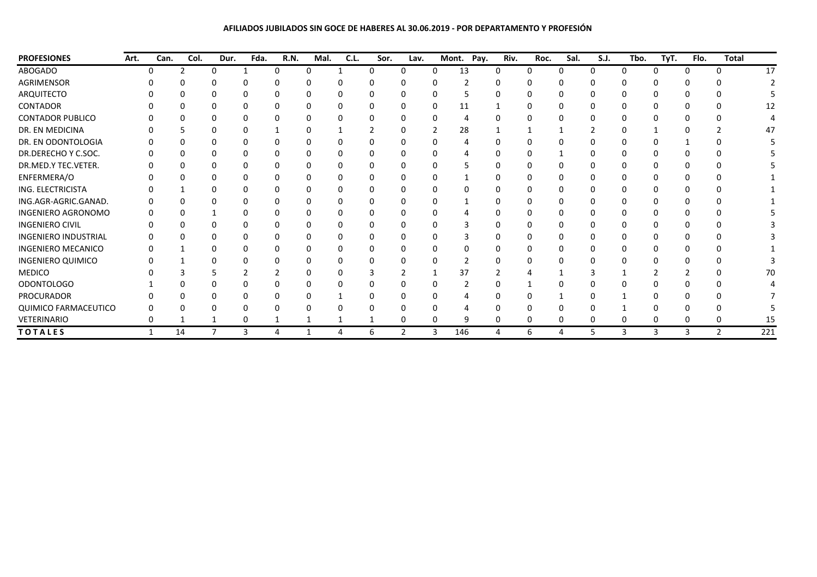**AFILIADOS JUBILADOS SIN GOCE DE HABERES AL 30.06.2019 - POR DEPARTAMENTO Y PROFESIÓN**

| <b>PROFESIONES</b>          | Art. | Can. | Col.          | Dur. | Fda. | R.N. | Mal.     | C.L. | Sor. | Lav. |   | Pay.<br>Mont. | Riv.         | Roc. | Sal. | <b>S.J.</b> | Tbo.     | TyT. | Flo. | <b>Total</b> |     |
|-----------------------------|------|------|---------------|------|------|------|----------|------|------|------|---|---------------|--------------|------|------|-------------|----------|------|------|--------------|-----|
| ABOGADO                     |      |      | $\mathcal{L}$ | 0    |      | n    | $\Omega$ |      | n    | n    | 0 | 13            | 0            | 0    | n    | 0           | $\Omega$ | n    |      | <sup>n</sup> | 17  |
| AGRIMENSOR                  |      |      |               |      |      |      |          |      |      |      |   |               |              |      |      |             |          |      |      |              |     |
| ARQUITECTO                  |      |      |               |      |      |      |          |      |      |      |   |               |              |      |      |             |          |      |      |              |     |
| CONTADOR                    |      |      |               |      |      |      |          |      |      |      | 0 | 11            |              |      |      |             |          |      |      |              | 12  |
| <b>CONTADOR PUBLICO</b>     |      |      |               |      |      |      |          |      |      |      |   |               |              |      |      |             |          |      |      |              |     |
| DR. EN MEDICINA             |      |      |               |      |      |      |          |      |      |      |   | 28            |              |      |      |             |          |      |      |              | 47  |
| DR. EN ODONTOLOGIA          |      |      |               |      |      |      |          |      |      |      |   |               |              |      |      |             |          |      |      |              |     |
| DR.DERECHO Y C.SOC.         |      |      |               |      |      |      |          |      |      |      |   |               |              |      |      |             |          |      |      |              |     |
| DR.MED.Y TEC.VETER.         |      |      |               |      |      |      |          |      |      |      |   |               |              |      |      |             |          |      |      |              |     |
| ENFERMERA/O                 |      |      |               |      |      |      |          |      |      |      |   |               |              |      |      |             |          |      |      |              |     |
| ING. ELECTRICISTA           |      |      |               |      |      |      |          |      |      |      |   |               |              |      |      |             |          |      |      |              |     |
| ING.AGR-AGRIC.GANAD.        |      |      |               |      |      |      |          |      |      |      |   |               |              |      |      |             |          |      |      |              |     |
| INGENIERO AGRONOMO          |      |      |               |      |      |      |          |      |      |      |   |               |              |      |      |             |          |      |      |              |     |
| <b>INGENIERO CIVIL</b>      |      |      |               |      |      |      | 0        |      |      |      | 0 |               | $\mathbf{I}$ | n    |      |             |          |      |      |              |     |
| <b>INGENIERO INDUSTRIAL</b> |      |      |               |      |      |      |          |      |      |      |   |               |              |      |      |             |          |      |      |              |     |
| <b>INGENIERO MECANICO</b>   |      |      |               |      |      |      | 0        |      |      |      | 0 |               | O            | n    |      |             | O        |      |      |              |     |
| <b>INGENIERO QUIMICO</b>    |      |      |               |      |      |      |          |      |      |      |   |               |              |      |      |             |          |      |      |              |     |
| <b>MEDICO</b>               |      |      |               |      |      |      |          |      |      |      |   | 37            |              |      |      |             |          |      |      |              | 70  |
| <b>ODONTOLOGO</b>           |      |      |               |      |      |      |          |      |      |      |   |               |              |      |      |             |          |      |      |              |     |
| PROCURADOR                  |      |      |               |      |      |      |          |      |      |      |   |               |              |      |      |             |          |      |      |              |     |
| QUIMICO FARMACEUTICO        |      |      |               |      |      |      |          |      |      |      |   |               |              |      |      |             |          |      |      |              |     |
| VETERINARIO                 |      |      |               |      | 0    |      |          |      |      | 0    | 0 |               |              | 0    |      | 0           | 0        |      |      | 0            | 15  |
| <b>TOTALES</b>              |      | 1    | 14            |      | 3    | 4    |          | 4    | 6    | 2    | 3 | 146           | 4            | 6    | 4    | 5           | 3        | 3    | 3    | $\mathbf{2}$ | 221 |